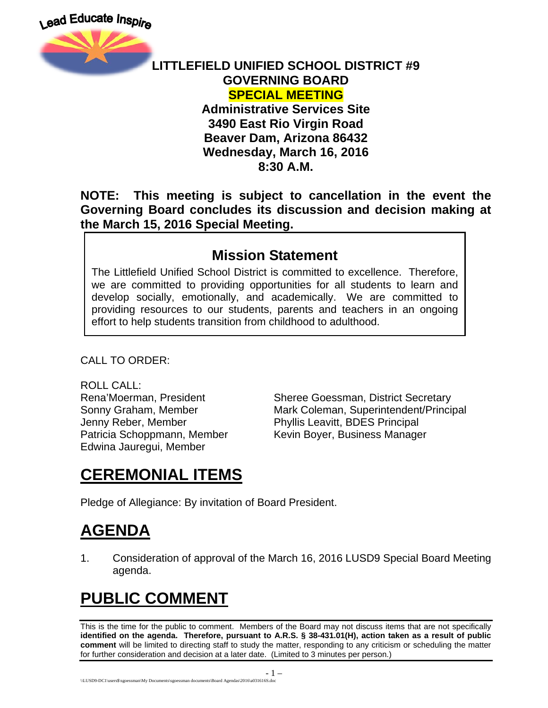

#### **LITTLEFIELD UNIFIED SCHOOL DISTRICT #9 GOVERNING BOARD SPECIAL MEETING**

### **Administrative Services Site 3490 East Rio Virgin Road Beaver Dam, Arizona 86432 Wednesday, March 16, 2016 8:30 A.M.**

### **NOTE: This meeting is subject to cancellation in the event the Governing Board concludes its discussion and decision making at the March 15, 2016 Special Meeting.**

### **Mission Statement**

The Littlefield Unified School District is committed to excellence. Therefore, we are committed to providing opportunities for all students to learn and develop socially, emotionally, and academically. We are committed to providing resources to our students, parents and teachers in an ongoing effort to help students transition from childhood to adulthood.

CALL TO ORDER:

ROLL CALL: Jenny Reber, Member **Phyllis Leavitt, BDES Principal** Edwina Jauregui, Member

Rena'Moerman, President Sheree Goessman, District Secretary Sonny Graham, Member Mark Coleman, Superintendent/Principal Patricia Schoppmann, Member Kevin Boyer, Business Manager

# **CEREMONIAL ITEMS**

Pledge of Allegiance: By invitation of Board President.

# **AGENDA**

1. Consideration of approval of the March 16, 2016 LUSD9 Special Board Meeting agenda.

# **PUBLIC COMMENT**

This is the time for the public to comment. Members of the Board may not discuss items that are not specifically **identified on the agenda. Therefore, pursuant to A.R.S. § 38-431.01(H), action taken as a result of public comment** will be limited to directing staff to study the matter, responding to any criticism or scheduling the matter for further consideration and decision at a later date. (Limited to 3 minutes per person.)